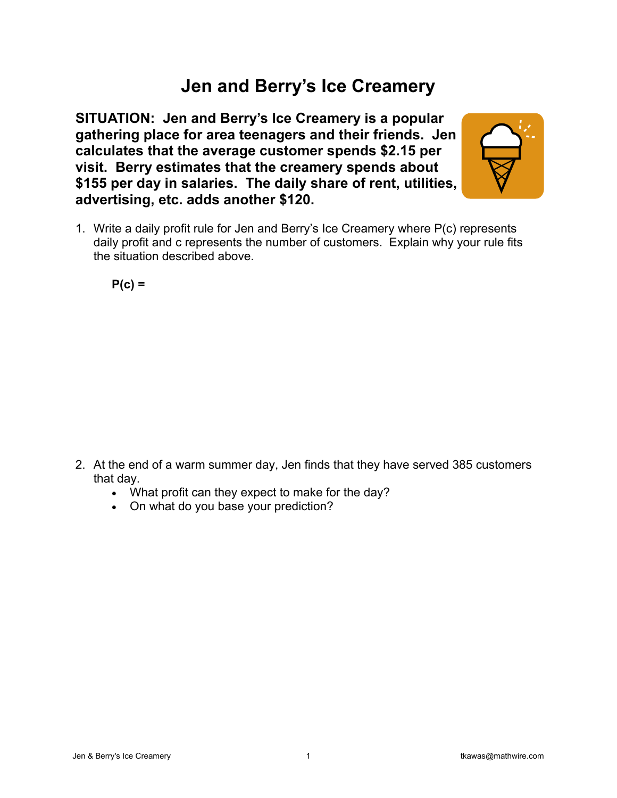## **Jen and Berry's Ice Creamery**

**SITUATION: Jen and Berry's Ice Creamery is a popular gathering place for area teenagers and their friends. Jen calculates that the average customer spends \$2.15 per visit. Berry estimates that the creamery spends about \$155 per day in salaries. The daily share of rent, utilities, advertising, etc. adds another \$120.** 



1. Write a daily profit rule for Jen and Berry's Ice Creamery where P(c) represents daily profit and c represents the number of customers. Explain why your rule fits the situation described above.

**P(c) =** 

- 2. At the end of a warm summer day, Jen finds that they have served 385 customers that day.
	- What profit can they expect to make for the day?
	- On what do you base your prediction?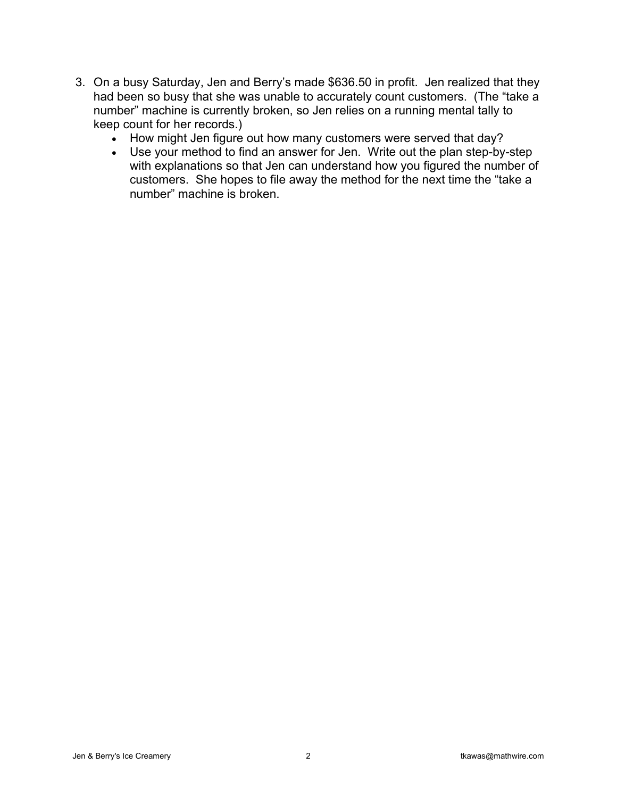- 3. On a busy Saturday, Jen and Berry's made \$636.50 in profit. Jen realized that they had been so busy that she was unable to accurately count customers. (The "take a number" machine is currently broken, so Jen relies on a running mental tally to keep count for her records.)
	- How might Jen figure out how many customers were served that day?
	- Use your method to find an answer for Jen. Write out the plan step-by-step with explanations so that Jen can understand how you figured the number of customers. She hopes to file away the method for the next time the "take a number" machine is broken.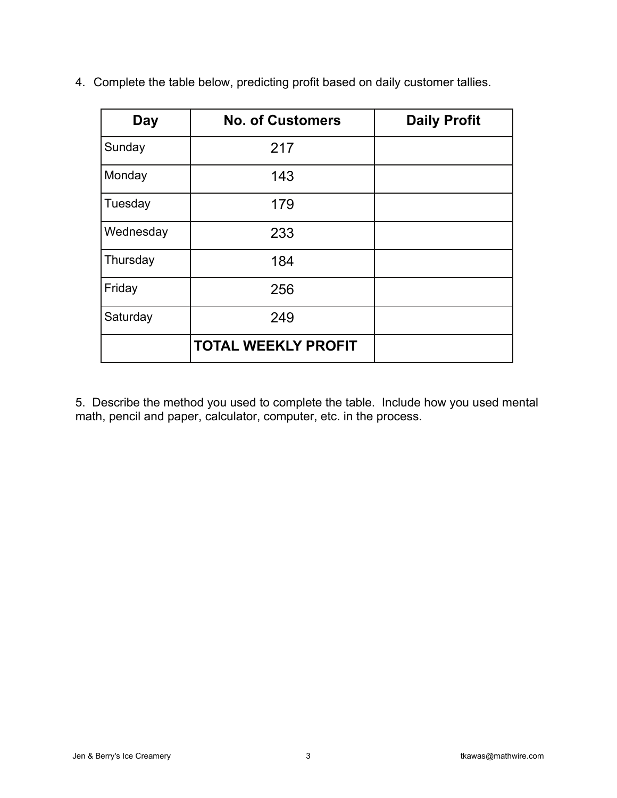| Day       | <b>No. of Customers</b>    | <b>Daily Profit</b> |
|-----------|----------------------------|---------------------|
| Sunday    | 217                        |                     |
| Monday    | 143                        |                     |
| Tuesday   | 179                        |                     |
| Wednesday | 233                        |                     |
| Thursday  | 184                        |                     |
| Friday    | 256                        |                     |
| Saturday  | 249                        |                     |
|           | <b>TOTAL WEEKLY PROFIT</b> |                     |

4. Complete the table below, predicting profit based on daily customer tallies.

5. Describe the method you used to complete the table. Include how you used mental math, pencil and paper, calculator, computer, etc. in the process.